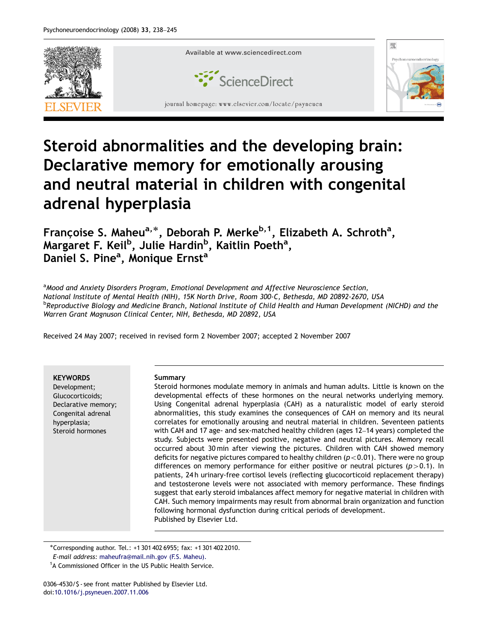

## Steroid abnormalities and the developing brain: Declarative memory for emotionally arousing and neutral material in children with congenital adrenal hyperplasia

Françoise S. Maheu<sup>a,\*</sup>, Deborah P. Merke<sup>b,1</sup>, Elizabeth A. Schroth<sup>a</sup>, Margaret F. Keil<sup>b</sup>, Julie Hardin<sup>b</sup>, Kaitlin Poeth<sup>a</sup>, Daniel S. Pine<sup>a</sup>, Monique Ernst<sup>a</sup>

<sup>a</sup> Mood and Anxiety Disorders Program, Emotional Development and Affective Neuroscience Section, National Institute of Mental Health (NIH), 15K North Drive, Room 300-C, Bethesda, MD 20892-2670, USA <sup>b</sup>Reproductive Biology and Medicine Branch, National Institute of Child Health and Human Development (NICHD) and the Warren Grant Magnuson Clinical Center, NIH, Bethesda, MD 20892, USA

Received 24 May 2007; received in revised form 2 November 2007; accepted 2 November 2007

**KEYWORDS** 

Development; Glucocorticoids; Declarative memory; Congenital adrenal hyperplasia; Steroid hormones

## Summary

Steroid hormones modulate memory in animals and human adults. Little is known on the developmental effects of these hormones on the neural networks underlying memory. Using Congenital adrenal hyperplasia (CAH) as a naturalistic model of early steroid abnormalities, this study examines the consequences of CAH on memory and its neural correlates for emotionally arousing and neutral material in children. Seventeen patients with CAH and 17 age- and sex-matched healthy children (ages 12–14 years) completed the study. Subjects were presented positive, negative and neutral pictures. Memory recall occurred about 30 min after viewing the pictures. Children with CAH showed memory deficits for negative pictures compared to healthy children ( $p<0.01$ ). There were no group differences on memory performance for either positive or neutral pictures ( $p>0.1$ ). In patients, 24 h urinary-free cortisol levels (reflecting glucocorticoid replacement therapy) and testosterone levels were not associated with memory performance. These findings suggest that early steroid imbalances affect memory for negative material in children with CAH. Such memory impairments may result from abnormal brain organization and function following hormonal dysfunction during critical periods of development. Published by Elsevier Ltd.

-Corresponding author. Tel.: +1 301 402 6955; fax: +1 301 402 2010.

0306-4530/\$ - see front matter Published by Elsevier Ltd. doi:[10.1016/j.psyneuen.2007.11.006](dx.doi.org/10.1016/j.psyneuen.2007.11.006)

E-mail address: [maheufra@mail.nih.gov \(F.S. Maheu\).](mailto:maheufra@mail.nih.gov)

<sup>&</sup>lt;sup>1</sup>A Commissioned Officer in the US Public Health Service.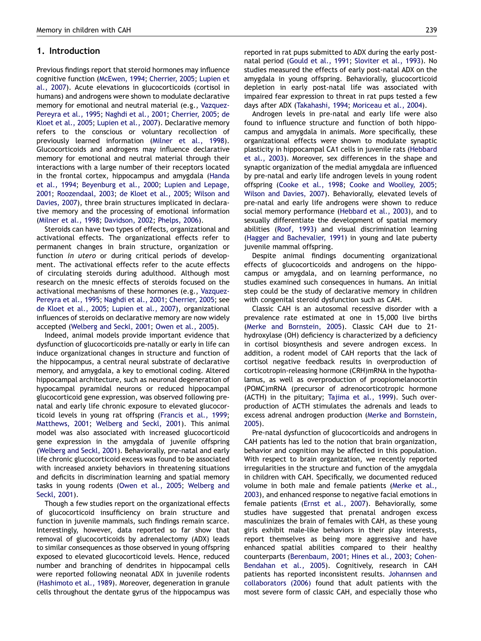## 1. Introduction

Previous findings report that steroid hormones may influence cognitive function [\(McEwen, 1994](#page--1-0); [Cherrier, 2005](#page--1-0); [Lupien et](#page--1-0) [al., 2007\)](#page--1-0). Acute elevations in glucocorticoids (cortisol in humans) and androgens were shown to modulate declarative memory for emotional and neutral material (e.g., [Vazquez-](#page--1-0)[Pereyra et al., 1995;](#page--1-0) [Naghdi et al., 2001;](#page--1-0) [Cherrier, 2005;](#page--1-0) [de](#page--1-0) [Kloet et al., 2005;](#page--1-0) [Lupien et al., 2007](#page--1-0)). Declarative memory refers to the conscious or voluntary recollection of previously learned information [\(Milner et al., 1998\)](#page--1-0). Glucocorticoids and androgens may influence declarative memory for emotional and neutral material through their interactions with a large number of their receptors located in the frontal cortex, hippocampus and amygdala ([Handa](#page--1-0) [et al., 1994](#page--1-0); [Beyenburg et al., 2000](#page--1-0); [Lupien and Lepage,](#page--1-0) [2001](#page--1-0); [Roozendaal, 2003](#page--1-0); [de Kloet et al., 2005;](#page--1-0) [Wilson and](#page--1-0) [Davies, 2007\)](#page--1-0), three brain structures implicated in declarative memory and the processing of emotional information ([Milner et al., 1998](#page--1-0); [Davidson, 2002](#page--1-0); [Phelps, 2006](#page--1-0)).

Steroids can have two types of effects, organizational and activational effects. The organizational effects refer to permanent changes in brain structure, organization or function in utero or during critical periods of development. The activational effects refer to the acute effects of circulating steroids during adulthood. Although most research on the mnesic effects of steroids focused on the activational mechanisms of these hormones (e.g., [Vazquez-](#page--1-0)[Pereyra et al., 1995](#page--1-0); [Naghdi et al., 2001](#page--1-0); [Cherrier, 2005;](#page--1-0) see [de Kloet et al., 2005;](#page--1-0) [Lupien et al., 2007\)](#page--1-0), organizational influences of steroids on declarative memory are now widely accepted [\(Welberg and Seckl, 2001;](#page--1-0) [Owen et al., 2005](#page--1-0)).

Indeed, animal models provide important evidence that dysfunction of glucocorticoids pre-natally or early in life can induce organizational changes in structure and function of the hippocampus, a central neural substrate of declarative memory, and amygdala, a key to emotional coding. Altered hippocampal architecture, such as neuronal degeneration of hypocampal pyramidal neurons or reduced hippocampal glucocorticoid gene expression, was observed following prenatal and early life chronic exposure to elevated glucocorticoid levels in young rat offspring ([Francis et al., 1999](#page--1-0); [Matthews, 2001;](#page--1-0) [Welberg and Seckl, 2001\)](#page--1-0). This animal model was also associated with increased glucocorticoid gene expression in the amygdala of juvenile offspring ([Welberg and Seckl, 2001\)](#page--1-0). Behaviorally, pre-natal and early life chronic glucocorticoid excess was found to be associated with increased anxiety behaviors in threatening situations and deficits in discrimination learning and spatial memory tasks in young rodents ([Owen et al., 2005;](#page--1-0) [Welberg and](#page--1-0) [Seckl, 2001\)](#page--1-0).

Though a few studies report on the organizational effects of glucocorticoid insufficiency on brain structure and function in juvenile mammals, such findings remain scarce. Interestingly, however, data reported so far show that removal of glucocorticoids by adrenalectomy (ADX) leads to similar consequences as those observed in young offspring exposed to elevated glucocorticoid levels. Hence, reduced number and branching of dendrites in hippocampal cells were reported following neonatal ADX in juvenile rodents ([Hashimoto et al., 1989](#page--1-0)). Moreover, degeneration in granule cells throughout the dentate gyrus of the hippocampus was reported in rat pups submitted to ADX during the early postnatal period [\(Gould et al., 1991;](#page--1-0) [Sloviter et al., 1993](#page--1-0)). No studies measured the effects of early post-natal ADX on the amygdala in young offspring. Behaviorally, glucocorticoid depletion in early post-natal life was associated with impaired fear expression to threat in rat pups tested a few days after ADX ([Takahashi, 1994;](#page--1-0) [Moriceau et al., 2004\)](#page--1-0).

Androgen levels in pre-natal and early life were also found to influence structure and function of both hippocampus and amygdala in animals. More specifically, these organizational effects were shown to modulate synaptic plasticity in hippocampal CA1 cells in juvenile rats ([Hebbard](#page--1-0) [et al., 2003](#page--1-0)). Moreover, sex differences in the shape and synaptic organization of the medial amygdala are influenced by pre-natal and early life androgen levels in young rodent offspring ([Cooke et al., 1998](#page--1-0); [Cooke and Woolley, 2005](#page--1-0); [Wilson and Davies, 2007](#page--1-0)). Behaviorally, elevated levels of pre-natal and early life androgens were shown to reduce social memory performance [\(Hebbard et al., 2003\)](#page--1-0), and to sexually differentiate the development of spatial memory abilities [\(Roof, 1993\)](#page--1-0) and visual discrimination learning ([Hagger and Bachevalier, 1991\)](#page--1-0) in young and late puberty juvenile mammal offspring.

Despite animal findings documenting organizational effects of glucocorticoids and androgens on the hippocampus or amygdala, and on learning performance, no studies examined such consequences in humans. An initial step could be the study of declarative memory in children with congenital steroid dysfunction such as CAH.

Classic CAH is an autosomal recessive disorder with a prevalence rate estimated at one in 15,000 live births ([Merke and Bornstein, 2005](#page--1-0)). Classic CAH due to 21 hydroxylase (OH) deficiency is characterized by a deficiency in cortisol biosynthesis and severe androgen excess. In addition, a rodent model of CAH reports that the lack of cortisol negative feedback results in overproduction of corticotropin-releasing hormone (CRH)mRNA in the hypothalamus, as well as overproduction of proopiomelanocortin (POMC)mRNA (precursor of adrenocorticotropic hormone (ACTH) in the pituitary; [Tajima et al., 1999](#page--1-0)). Such overproduction of ACTH stimulates the adrenals and leads to excess adrenal androgen production [\(Merke and Bornstein,](#page--1-0) [2005](#page--1-0)).

Pre-natal dysfunction of glucocorticoids and androgens in CAH patients has led to the notion that brain organization, behavior and cognition may be affected in this population. With respect to brain organization, we recently reported irregularities in the structure and function of the amygdala in children with CAH. Specifically, we documented reduced volume in both male and female patients [\(Merke et al.,](#page--1-0) [2003](#page--1-0)), and enhanced response to negative facial emotions in female patients [\(Ernst et al., 2007\)](#page--1-0). Behaviorally, some studies have suggested that prenatal androgen excess masculinizes the brain of females with CAH, as these young girls exhibit male-like behaviors in their play interests, report themselves as being more aggressive and have enhanced spatial abilities compared to their healthy counterparts ([Berenbaum, 2001](#page--1-0); [Hines et al., 2003](#page--1-0); [Cohen-](#page--1-0)[Bendahan et al., 2005\)](#page--1-0). Cognitively, research in CAH patients has reported inconsistent results. [Johannsen and](#page--1-0) [collaborators \(2006\)](#page--1-0) found that adult patients with the most severe form of classic CAH, and especially those who